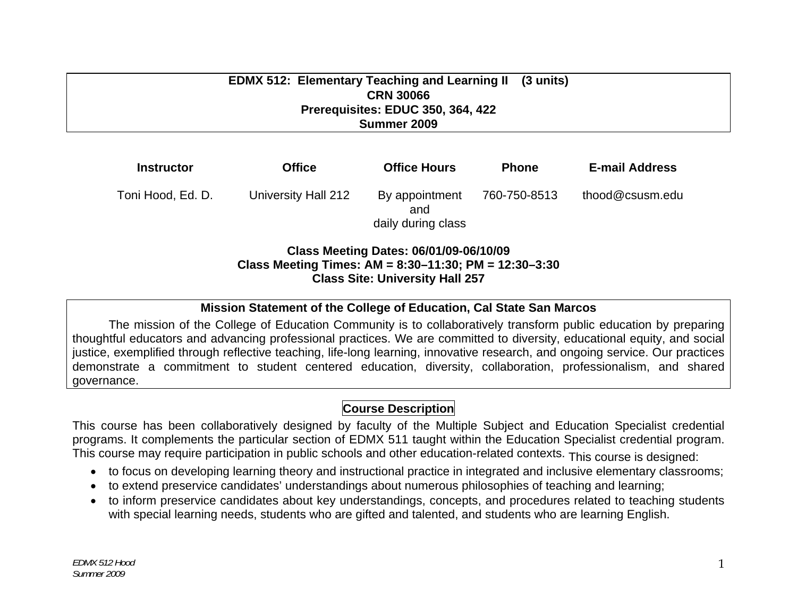#### **EDMX 512: Elementary Teaching and Learning II CRN 30066 Prerequisites: EDUC 350, 364, 422 Summer 2009 (3 units)**

| <b>Instructor</b> | <b>Office</b>       | <b>Office Hours</b>                         | <b>Phone</b> | <b>E-mail Address</b> |
|-------------------|---------------------|---------------------------------------------|--------------|-----------------------|
| Toni Hood, Ed. D. | University Hall 212 | By appointment<br>and<br>daily during class | 760-750-8513 | thood@csusm.edu       |

#### **Class Meeting Dates: 06/01/09-06/10/09 Class Meeting Times: AM = 8:30–11:30; PM = 12:30–3:30 Class Site: University Hall 257**

### **Mission Statement of the College of Education, Cal State San Marcos**

The mission of the College of Education Community is to collaboratively transform public education by preparing thoughtful educators and advancing professional practices. We are committed to diversity, educational equity, and social justice, exemplified through reflective teaching, life-long learning, innovative research, and ongoing service. Our practices demonstrate a commitment to student centered education, diversity, collaboration, professionalism, and shared governance.

## **Course Description**

This course has been collaboratively designed by faculty of the Multiple Subject and Education Specialist credential programs. It complements the particular section of EDMX 511 taught within the Education Specialist credential program. This course may require participation in public schools and other education-related contexts. This course is designed:

- $\bullet$   $\,$  to focus on developing learning theory and instructional practice in integrated and inclusive elementary classrooms;
- • to extend preservice candidates' understandings about numerous philosophies of teaching and learning;
- • to inform preservice candidates about key understandings, concepts, and procedures related to teaching students with special learning needs, students who are gifted and talented, and students who are learning English.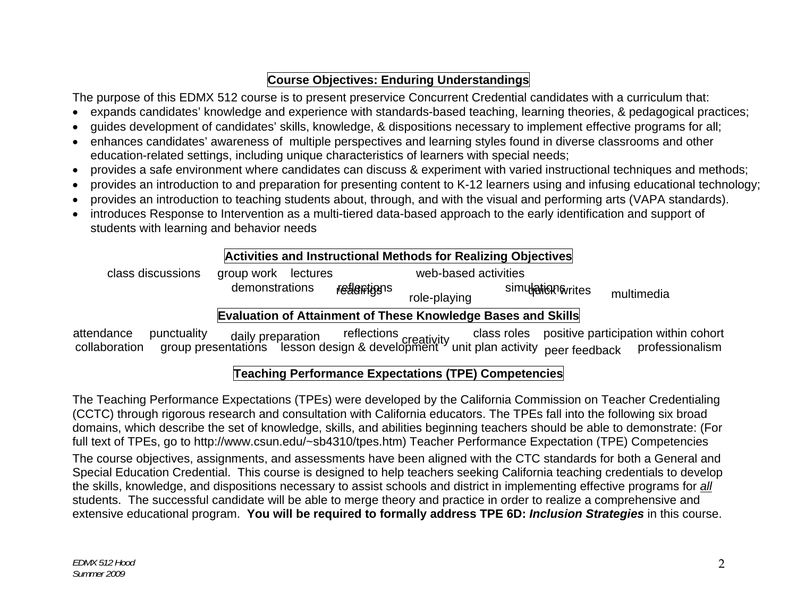# **Course Objectives: Enduring Understandings**

The purpose of this EDMX 512 course is to present preservice Concurrent Credential candidates with a curriculum that:

- $\bullet$   $\,$  expands candidates' knowledge and experience with standards-based teaching, learning theories, & pedagogical practices;
- • guides development of candidates' skills, knowledge, & dispositions necessary to implement effective programs for all;
- • enhances candidates' awareness of multiple perspectives and learning styles found in diverse classrooms and other education-related settings, including unique characteristics of learners with special needs;
- • provides a safe environment where candidates can discuss & experiment with varied instructional techniques and methods;
- • provides an introduction to and preparation for presenting content to K-12 learners using and infusing educational technology;
- • provides an introduction to teaching students about, through, and with the visual and performing arts (VAPA standards).
- • introduces Response to Intervention as a multi-tiered data-based approach to the early identification and support of students with learning and behavior needs

## **Activities and Instructional Methods for Realizing Objectives**

| class discussions | group work lectures |             | web-based activities |                                                               |            |
|-------------------|---------------------|-------------|----------------------|---------------------------------------------------------------|------------|
|                   | demonstrations      | realentigns | role-playing         | simulation writes                                             | multimedia |
|                   |                     |             |                      | $Evaluation of Attinment of Thaaa Knauladaa Boaa and Clillal$ |            |

# **Evaluation of Attainment of These Knowledge Bases and Skills**

attendance punctuality daily preparation reflections creativity class roles positive participation within cohort collaboration group presentations lesson design & development unit plan activity peer feedback professionalis

## **Teaching Performance Expectations (TPE) Competencies**

The Teaching Performance Expectations (TPEs) were developed by the California Commission on Teacher Credentialing (CCTC) through rigorous research and consultation with California educators. The TPEs fall into the following six broad domains, which describe the set of knowledge, skills, and abilities beginning teachers should be able to demonstrate: (For full text of TPEs, go to http://www.csun.edu/~sb4310/tpes.htm) Teacher Performance Expectation (TPE) Competencies The course objectives, assignments, and assessments have been aligned with the CTC standards for both a General and Special Education Credential. This course is designed to help teachers seeking California teaching credentials to develop the skills, knowledge, and dispositions necessary to assist schools and district in implementing effective programs for *all*  students. The successful candidate will be able to merge theory and practice in order to realize a comprehensive and extensive educational program. **You will be required to formally address TPE 6D:** *Inclusion Strategies* in this course.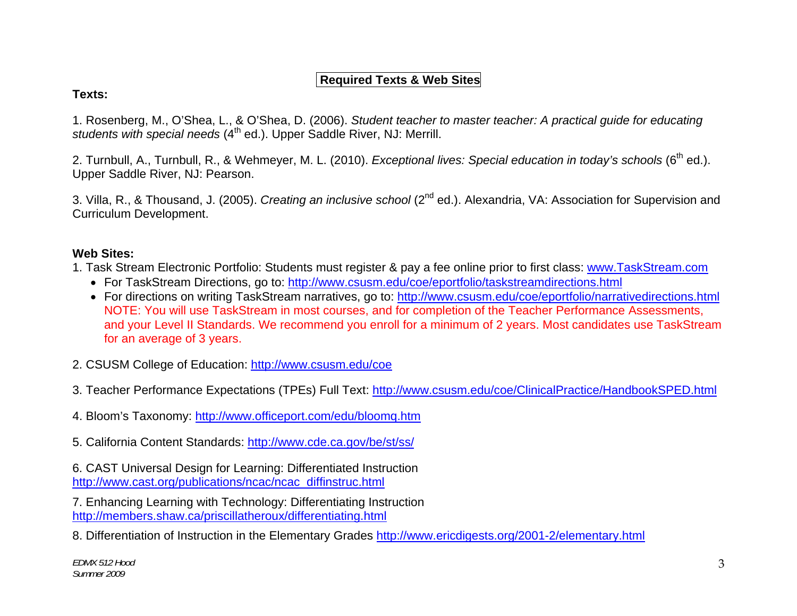## **Required Texts & Web Sites**

### **Texts:**

1. Rosenberg, M., O'Shea, L., & O'Shea, D. (2006). *Student teacher to master teacher: A practical guide for educating*  students with special needs (4<sup>th</sup> ed.). Upper Saddle River, NJ: Merrill.

2. Turnbull, A., Turnbull, R., & Wehmeyer, M. L. (2010). *Exceptional lives: Special education in today's schools* (6<sup>th</sup> ed.). Upper Saddle River, NJ: Pearson.

3. Villa, R., & Thousand, J. (2005). *Creating an inclusive school* (2nd ed.). Alexandria, VA: Association for Supervision and Curriculum Development.

### **Web Sites:**

- 1. Task Stream Electronic Portfolio: Students must register & pay a fee online prior to first class: www.TaskStream.com
	- For TaskStream Directions, go to: <u>http://www.csusm.edu/coe/eportfolio/taskstreamdirections.html</u>
	- For directions on writing TaskStream narratives, go to: <u>http://www.csusm.edu/coe/eportfolio/narrativedirections.html</u> NOTE: You will use TaskStream in most courses, and for completion of the Teacher Performance Assessments, and your Level II Standards. We recommend you enroll for a minimum of 2 years. Most candidates use TaskStream for an average of 3 years.
- 2. CSUSM College of Education: http://www.csusm.edu/coe
- 3. Teacher Performance Expectations (TPEs) Full Text: http://www.csusm.edu/coe/ClinicalPractice/HandbookSPED.html
- 4. Bloom's Taxonomy: http://www.officeport.com/edu/bloomq.htm
- 5. California Content Standards: http://www.cde.ca.gov/be/st/ss/

6. CAST Universal Design for Learning: Differentiated Instruction http://www.cast.org/publications/ncac/ncac\_diffinstruc.html

7. Enhancing Learning with Technology: Differentiating Instruction http://members.shaw.ca/priscillatheroux/differentiating.html

8. Differentiation of Instruction in the Elementary Grades http://www.ericdigests.org/2001-2/elementary.html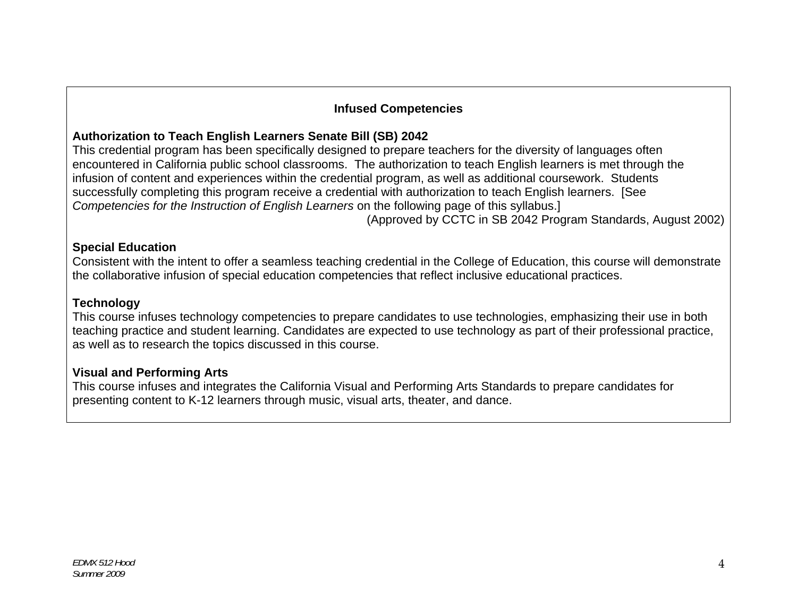### **Infused Competencies**

## **Authorization to Teach English Learners Senate Bill (SB) 2042**

This credential program has been specifically designed to prepare teachers for the diversity of languages often encountered in California public school classrooms. The authorization to teach English learners is met through the infusion of content and experiences within the credential program, as well as additional coursework. Students successfully completing this program receive a credential with authorization to teach English learners. [See *Competencies for the Instruction of English Learners* on the following page of this syllabus.]

(Approved by CCTC in SB 2042 Program Standards, August 2002)

### **Special Education**

Consistent with the intent to offer a seamless teaching credential in the College of Education, this course will demonstrate the collaborative infusion of special education competencies that reflect inclusive educational practices.

### **Technology**

This course infuses technology competencies to prepare candidates to use technologies, emphasizing their use in both teaching practice and student learning. Candidates are expected to use technology as part of their professional practice, as well as to research the topics discussed in this course.

### **Visual and Performing Arts**

This course infuses and integrates the California Visual and Performing Arts Standards to prepare candidates for presenting content to K-12 learners through music, visual arts, theater, and dance.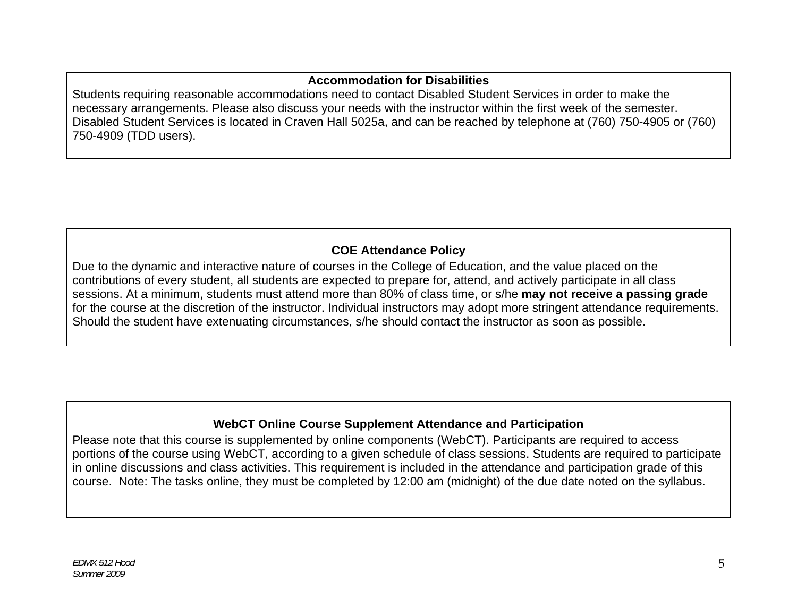## **Accommodation for Disabilities**

Students requiring reasonable accommodations need to contact Disabled Student Services in order to make the necessary arrangements. Please also discuss your needs with the instructor within the first week of the semester. Disabled Student Services is located in Craven Hall 5025a, and can be reached by telephone at (760) 750-4905 or (760) 750-4909 (TDD users).

# **COE Attendance Policy**

Due to the dynamic and interactive nature of courses in the College of Education, and the value placed on the contributions of every student, all students are expected to prepare for, attend, and actively participate in all class sessions. At a minimum, students must attend more than 80% of class time, or s/he **may not receive a passing grade**  for the course at the discretion of the instructor. Individual instructors may adopt more stringent attendance requirements. Should the student have extenuating circumstances, s/he should contact the instructor as soon as possible.

## **WebCT Online Course Supplement Attendance and Participation**

Please note that this course is supplemented by online components (WebCT). Participants are required to access portions of the course using WebCT, according to a given schedule of class sessions. Students are required to participate in online discussions and class activities. This requirement is included in the attendance and participation grade of this course. Note: The tasks online, they must be completed by 12:00 am (midnight) of the due date noted on the syllabus.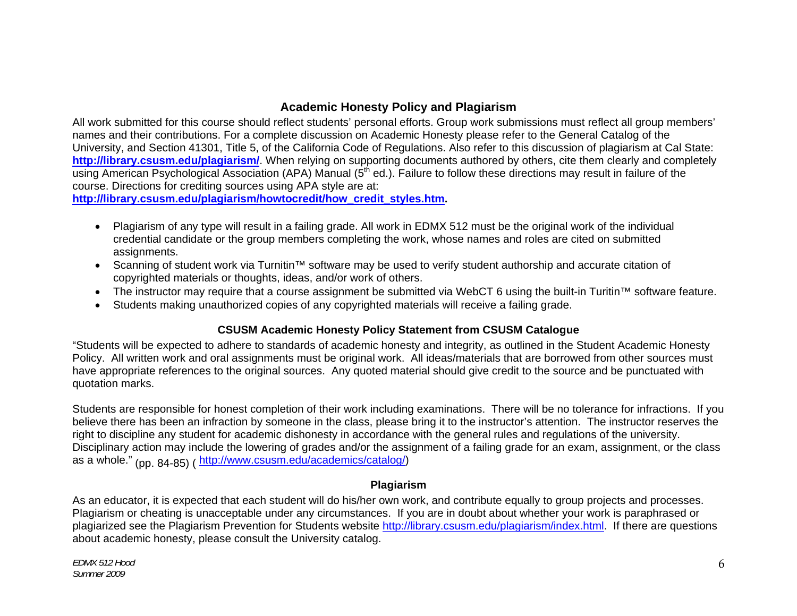### **Academic Honesty Policy and Plagiarism**

All work submitted for this course should reflect students' personal efforts. Group work submissions must reflect all group members' names and their contributions. For a complete discussion on Academic Honesty please refer to the General Catalog of the University, and Section 41301, Title 5, of the California Code of Regulations. Also refer to this discussion of plagiarism at Cal State: **http://library.csusm.edu/plagiarism/**. When relying on supporting documents authored by others, cite them clearly and completely using American Psychological Association (APA) Manual (5<sup>th</sup> ed.). Failure to follow these directions may result in failure of the course. Directions for crediting sources using APA style are at:

**http://library.csusm.edu/plagiarism/howtocredit/how\_credit\_styles.htm.** 

- $\bullet$  Plagiarism of any type will result in a failing grade. All work in EDMX 512 must be the original work of the individual credential candidate or the group members completing the work, whose names and roles are cited on submitted assignments.
- • Scanning of student work via Turnitin™ software may be used to verify student authorship and accurate citation of copyrighted materials or thoughts, ideas, and/or work of others.
- • The instructor may require that a course assignment be submitted via WebCT 6 using the built-in Turitin™ software feature.
- • Students making unauthorized copies of any copyrighted materials will receive a failing grade.

#### **CSUSM Academic Honesty Policy Statement from CSUSM Catalogue**

"Students will be expected to adhere to standards of academic honesty and integrity, as outlined in the Student Academic Honesty Policy. All written work and oral assignments must be original work. All ideas/materials that are borrowed from other sources must have appropriate references to the original sources. Any quoted material should give credit to the source and be punctuated with quotation marks.

Students are responsible for honest completion of their work including examinations. There will be no tolerance for infractions. If you believe there has been an infraction by someone in the class, please bring it to the instructor's attention. The instructor reserves the right to discipline any student for academic dishonesty in accordance with the general rules and regulations of the university. Disciplinary action may include the lowering of grades and/or the assignment of a failing grade for an exam, assignment, or the class as a whole." (pp. 84-85) ( http://www.csusm.edu/academics/catalog/)

#### **Plagiarism**

As an educator, it is expected that each student will do his/her own work, and contribute equally to group projects and processes. Plagiarism or cheating is unacceptable under any circumstances. If you are in doubt about whether your work is paraphrased or plagiarized see the Plagiarism Prevention for Students website http://library.csusm.edu/plagiarism/index.html. If there are questions about academic honesty, please consult the University catalog.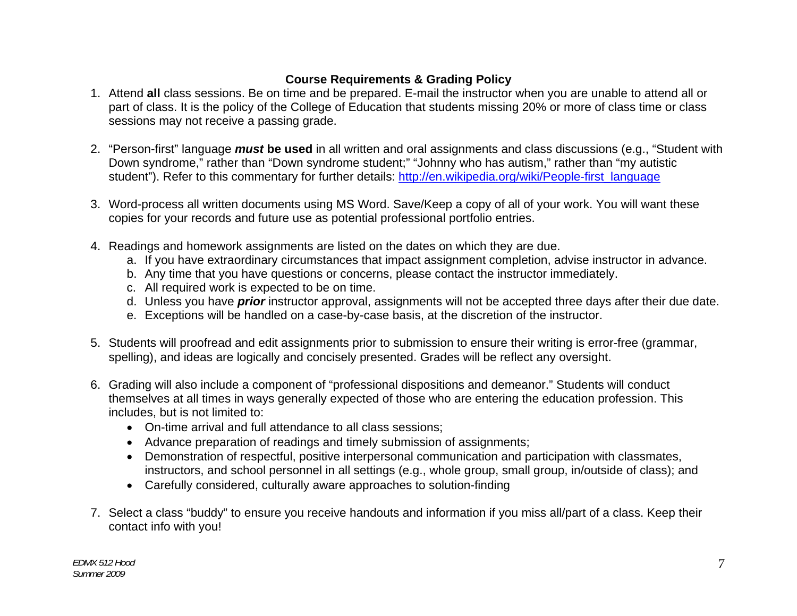# **Course Requirements & Grading Policy**

- 1. Attend **all** class sessions. Be on time and be prepared. E-mail the instructor when you are unable to attend all or part of class. It is the policy of the College of Education that students missing 20% or more of class time or class sessions may not receive a passing grade.
- 2. "Person-first" language *must* **be used** in all written and oral assignments and class discussions (e.g., "Student with Down syndrome," rather than "Down syndrome student;" "Johnny who has autism," rather than "my autistic student"). Refer to this commentary for further details: http://en.wikipedia.org/wiki/People-first\_language
- 3. Word-process all written documents using MS Word. Save/Keep a copy of all of your work. You will want these copies for your records and future use as potential professional portfolio entries.
- 4. Readings and homework assignments are listed on the dates on which they are due.
	- a. If you have extraordinary circumstances that impact assignment completion, advise instructor in advance.
	- b. Any time that you have questions or concerns, please contact the instructor immediately.
	- c. All required work is expected to be on time.
	- d. Unless you have *prior* instructor approval, assignments will not be accepted three days after their due date.
	- e. Exceptions will be handled on a case-by-case basis, at the discretion of the instructor.
- 5. Students will proofread and edit assignments prior to submission to ensure their writing is error-free (grammar, spelling), and ideas are logically and concisely presented. Grades will be reflect any oversight.
- 6. Grading will also include a component of "professional dispositions and demeanor." Students will conduct themselves at all times in ways generally expected of those who are entering the education profession. This includes, but is not limited to:
	- • On-time arrival and full attendance to all class sessions;
	- • Advance preparation of readings and timely submission of assignments;
	- • Demonstration of respectful, positive interpersonal communication and participation with classmates, instructors, and school personnel in all settings (e.g., whole group, small group, in/outside of class); and
	- Carefully considered, culturally aware approaches to solution-finding
- 7. Select a class "buddy" to ensure you receive handouts and information if you miss all/part of a class. Keep their contact info with you!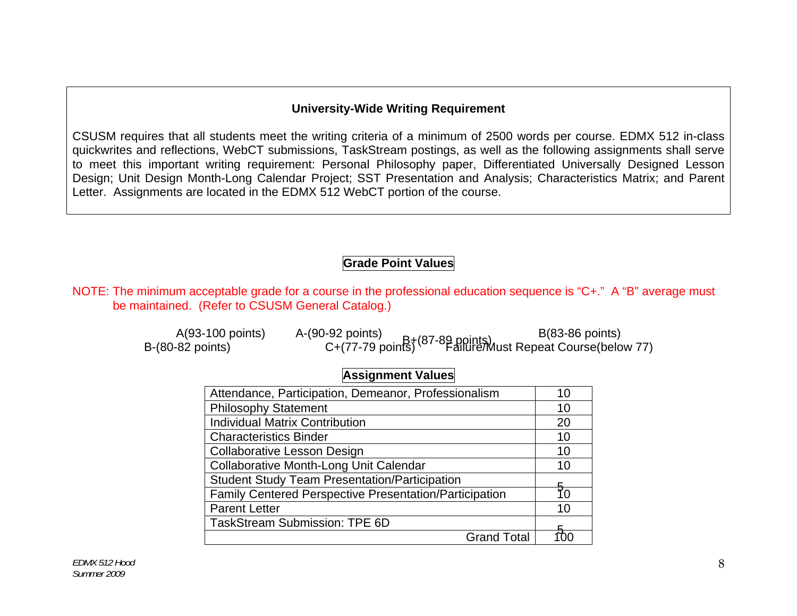#### **University-Wide Writing Requirement**

CSUSM requires that all students meet the writing criteria of a minimum of 2500 words per course. EDMX 512 in-class quickwrites and reflections, WebCT submissions, TaskStream postings, as well as the following assignments shall serve to meet this important writing requirement: Personal Philosophy paper, Differentiated Universally Designed Lesson Design; Unit Design Month-Long Calendar Project; SST Presentation and Analysis; Characteristics Matrix; and Parent Letter. Assignments are located in the EDMX 512 WebCT portion of the course.

## **Grade Point Values**

NOTE: The minimum acceptable grade for a course in the professional education sequence is "C+." A "B" average must be maintained. (Refer to CSUSM General Catalog.)

| A(93-100 points)   | A-(90-92 points) | $B(83-86$ points)                                                                          |
|--------------------|------------------|--------------------------------------------------------------------------------------------|
| B-(80-82 points) . |                  | C+(77-79 points)<br>C+(77-79 points) <sup>(87-89</sup> points) ust Repeat Course(below 77) |

## **Assignment Values**

| Attendance, Participation, Demeanor, Professionalism   | 10 |
|--------------------------------------------------------|----|
| <b>Philosophy Statement</b>                            | 10 |
| <b>Individual Matrix Contribution</b>                  | 20 |
| <b>Characteristics Binder</b>                          | 10 |
| <b>Collaborative Lesson Design</b>                     | 10 |
| Collaborative Month-Long Unit Calendar                 | 10 |
| <b>Student Study Team Presentation/Participation</b>   |    |
| Family Centered Perspective Presentation/Participation |    |
| <b>Parent Letter</b>                                   | 10 |
| <b>TaskStream Submission: TPE 6D</b>                   |    |
| <b>Grand Total</b>                                     |    |
|                                                        |    |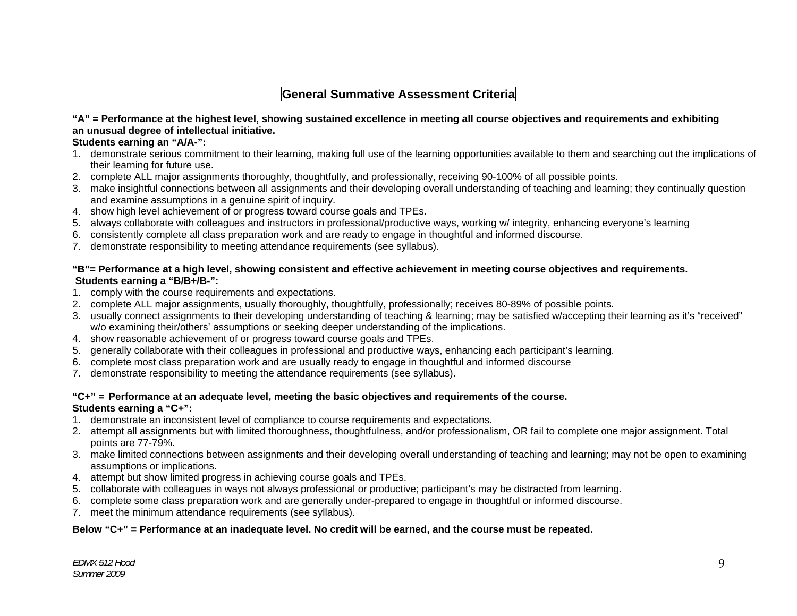## **General Summative Assessment Criteria**

#### **"A" = Performance at the highest level, showing sustained excellence in meeting all course objectives and requirements and exhibiting an unusual degree of intellectual initiative.**

#### **Students earning an "A/A-":**

- 1. demonstrate serious commitment to their learning, making full use of the learning opportunities available to them and searching out the implications of their learning for future use.
- 2. complete ALL major assignments thoroughly, thoughtfully, and professionally, receiving 90-100% of all possible points.
- 3. make insightful connections between all assignments and their developing overall understanding of teaching and learning; they continually question and examine assumptions in a genuine spirit of inquiry.
- 4. show high level achievement of or progress toward course goals and TPEs.
- 5. always collaborate with colleagues and instructors in professional/productive ways, working w/ integrity, enhancing everyone's learning
- 6. consistently complete all class preparation work and are ready to engage in thoughtful and informed discourse.
- 7. demonstrate responsibility to meeting attendance requirements (see syllabus).

#### **"B"= Performance at a high level, showing consistent and effective achievement in meeting course objectives and requirements. Students earning a "B/B+/B-":**

- 1. comply with the course requirements and expectations.
- 2. complete ALL major assignments, usually thoroughly, thoughtfully, professionally; receives 80-89% of possible points.
- 3. usually connect assignments to their developing understanding of teaching & learning; may be satisfied w/accepting their learning as it's "received" w/o examining their/others' assumptions or seeking deeper understanding of the implications.
- 4. show reasonable achievement of or progress toward course goals and TPEs.
- 5. generally collaborate with their colleagues in professional and productive ways, enhancing each participant's learning.
- 6. complete most class preparation work and are usually ready to engage in thoughtful and informed discourse
- 7. demonstrate responsibility to meeting the attendance requirements (see syllabus).

#### **"C+" = Performance at an adequate level, meeting the basic objectives and requirements of the course.**

#### **Students earning a "C+":**

- 1. demonstrate an inconsistent level of compliance to course requirements and expectations.
- 2. attempt all assignments but with limited thoroughness, thoughtfulness, and/or professionalism, OR fail to complete one major assignment. Total points are 77-79%.
- 3. make limited connections between assignments and their developing overall understanding of teaching and learning; may not be open to examining assumptions or implications.
- 4. attempt but show limited progress in achieving course goals and TPEs.
- 5. collaborate with colleagues in ways not always professional or productive; participant's may be distracted from learning.
- 6. complete some class preparation work and are generally under-prepared to engage in thoughtful or informed discourse.
- 7. meet the minimum attendance requirements (see syllabus).

#### **Below "C+" = Performance at an inadequate level. No credit will be earned, and the course must be repeated.**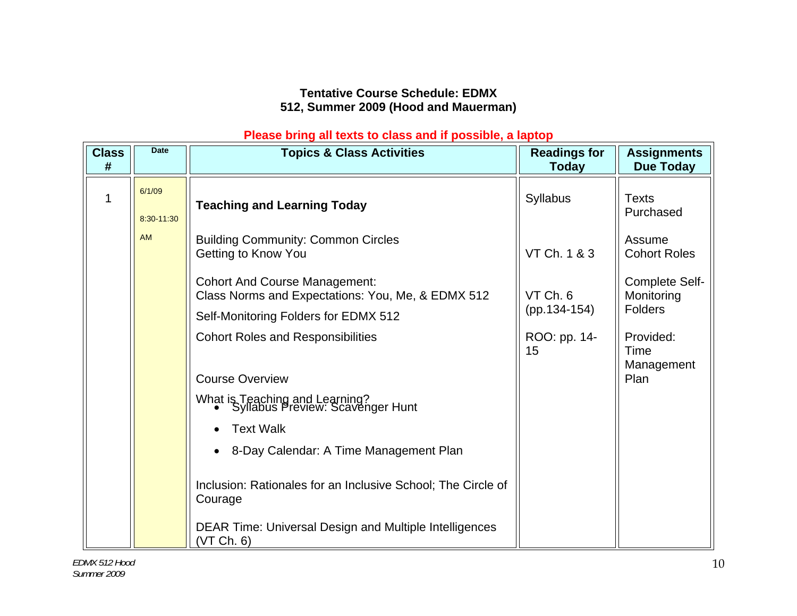## **Tentative Course Schedule: EDMX 512, Summer 2009 (Hood and Mauerman)**

### **Please bring all texts to class and if possible, a laptop**

| <b>Class</b><br># | <b>Date</b>          | <b>Topics &amp; Class Activities</b>                                                      | <b>Readings for</b><br>Today | <b>Assignments</b><br><b>Due Today</b>         |
|-------------------|----------------------|-------------------------------------------------------------------------------------------|------------------------------|------------------------------------------------|
|                   | 6/1/09<br>8:30-11:30 | <b>Teaching and Learning Today</b>                                                        | <b>Syllabus</b>              | <b>Texts</b><br>Purchased                      |
|                   | <b>AM</b>            | <b>Building Community: Common Circles</b><br>Getting to Know You                          | VT Ch. 1 & 3                 | Assume<br><b>Cohort Roles</b>                  |
|                   |                      | <b>Cohort And Course Management:</b><br>Class Norms and Expectations: You, Me, & EDMX 512 | VT Ch. 6                     | Complete Self-<br>Monitoring<br><b>Folders</b> |
|                   |                      | Self-Monitoring Folders for EDMX 512                                                      | $(pp.134-154)$               |                                                |
|                   |                      | <b>Cohort Roles and Responsibilities</b>                                                  | ROO: pp. 14-<br>15           | Provided:<br>Time<br>Management                |
|                   |                      | <b>Course Overview</b>                                                                    |                              | Plan                                           |
|                   |                      | What is Teaching and Learning?<br>• Syllabus Preview: Scavenger Hunt                      |                              |                                                |
|                   |                      | <b>Text Walk</b>                                                                          |                              |                                                |
|                   |                      | 8-Day Calendar: A Time Management Plan                                                    |                              |                                                |
|                   |                      | Inclusion: Rationales for an Inclusive School; The Circle of<br>Courage                   |                              |                                                |
|                   |                      | DEAR Time: Universal Design and Multiple Intelligences<br>(VT Ch. 6)                      |                              |                                                |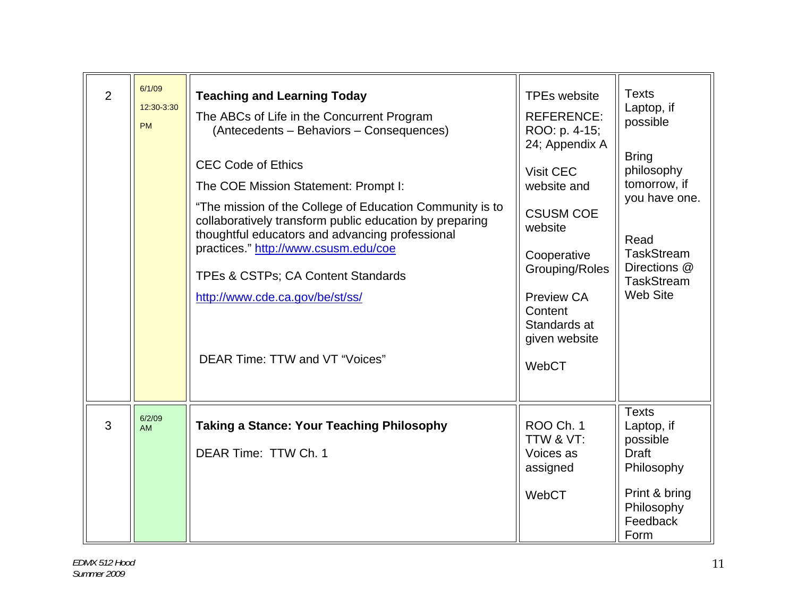| $\overline{2}$ | 6/1/09<br>12:30-3:30<br><b>PM</b> | <b>Teaching and Learning Today</b><br>The ABCs of Life in the Concurrent Program<br>(Antecedents - Behaviors - Consequences)<br><b>CEC Code of Ethics</b><br>The COE Mission Statement: Prompt I:<br>"The mission of the College of Education Community is to<br>collaboratively transform public education by preparing<br>thoughtful educators and advancing professional<br>practices." http://www.csusm.edu/coe<br>TPEs & CSTPs; CA Content Standards<br>http://www.cde.ca.gov/be/st/ss/<br>DEAR Time: TTW and VT "Voices" | <b>TPEs website</b><br><b>REFERENCE:</b><br>ROO: p. 4-15;<br>24; Appendix A<br>Visit CEC<br>website and<br><b>CSUSM COE</b><br>website<br>Cooperative<br>Grouping/Roles<br>Preview CA<br>Content<br>Standards at<br>given website<br>WebCT | <b>Texts</b><br>Laptop, if<br>possible<br><b>Bring</b><br>philosophy<br>tomorrow, if<br>you have one.<br>Read<br><b>TaskStream</b><br>Directions @<br><b>TaskStream</b><br><b>Web Site</b> |
|----------------|-----------------------------------|--------------------------------------------------------------------------------------------------------------------------------------------------------------------------------------------------------------------------------------------------------------------------------------------------------------------------------------------------------------------------------------------------------------------------------------------------------------------------------------------------------------------------------|--------------------------------------------------------------------------------------------------------------------------------------------------------------------------------------------------------------------------------------------|--------------------------------------------------------------------------------------------------------------------------------------------------------------------------------------------|
| 3              | 6/2/09<br><b>AM</b>               | <b>Taking a Stance: Your Teaching Philosophy</b><br>DEAR Time: TTW Ch. 1                                                                                                                                                                                                                                                                                                                                                                                                                                                       | <b>ROO Ch. 1</b><br>TTW & VT:<br>Voices as<br>assigned<br>WebCT                                                                                                                                                                            | <b>Texts</b><br>Laptop, if<br>possible<br><b>Draft</b><br>Philosophy<br>Print & bring<br>Philosophy<br>Feedback<br>Form                                                                    |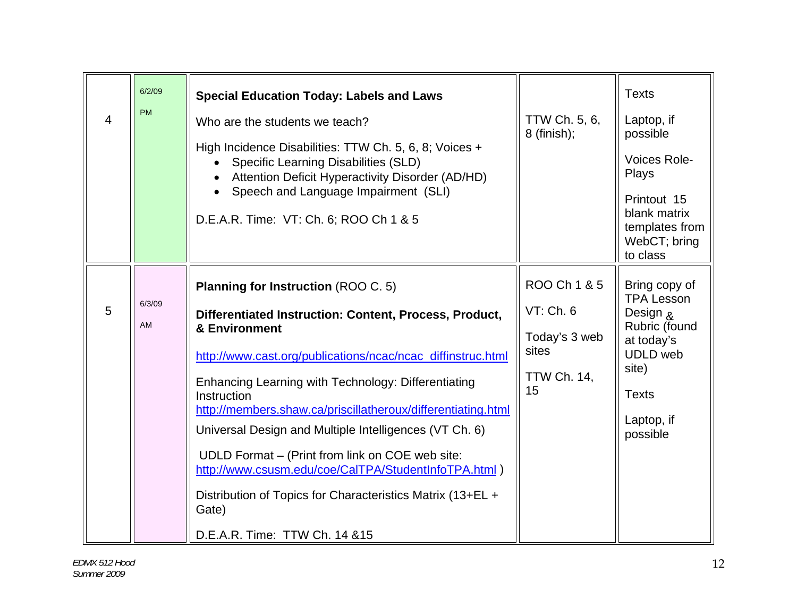| <b>PM</b><br>$\overline{4}$ | 6/2/09 | <b>Special Education Today: Labels and Laws</b><br>Who are the students we teach?<br>High Incidence Disabilities: TTW Ch. 5, 6, 8; Voices +<br><b>Specific Learning Disabilities (SLD)</b><br>Attention Deficit Hyperactivity Disorder (AD/HD)<br>Speech and Language Impairment (SLI)<br>D.E.A.R. Time: VT: Ch. 6; ROO Ch 1 & 5                                                                                                                                                                                                                                                                        | TTW Ch. 5, 6,<br>$8$ (finish);                                                  | <b>Texts</b><br>Laptop, if<br>possible<br>Voices Role-<br>Plays<br>Printout 15<br>blank matrix<br>templates from<br>WebCT; bring<br>to class        |
|-----------------------------|--------|---------------------------------------------------------------------------------------------------------------------------------------------------------------------------------------------------------------------------------------------------------------------------------------------------------------------------------------------------------------------------------------------------------------------------------------------------------------------------------------------------------------------------------------------------------------------------------------------------------|---------------------------------------------------------------------------------|-----------------------------------------------------------------------------------------------------------------------------------------------------|
| 5<br>AM                     | 6/3/09 | <b>Planning for Instruction (ROO C. 5)</b><br>Differentiated Instruction: Content, Process, Product,<br>& Environment<br>http://www.cast.org/publications/ncac/ncac_diffinstruc.html<br>Enhancing Learning with Technology: Differentiating<br>Instruction<br>http://members.shaw.ca/priscillatheroux/differentiating.html<br>Universal Design and Multiple Intelligences (VT Ch. 6)<br>UDLD Format – (Print from link on COE web site:<br>http://www.csusm.edu/coe/CalTPA/StudentInfoTPA.html<br>Distribution of Topics for Characteristics Matrix (13+EL +<br>Gate)<br>D.E.A.R. Time: TTW Ch. 14 & 15 | ROO Ch 1 & 5<br>VT: Ch. 6<br>Today's 3 web<br>sites<br><b>TTW Ch. 14,</b><br>15 | Bring copy of<br><b>TPA Lesson</b><br>Design &<br>Rubric (found<br>at today's<br><b>UDLD</b> web<br>site)<br><b>Texts</b><br>Laptop, if<br>possible |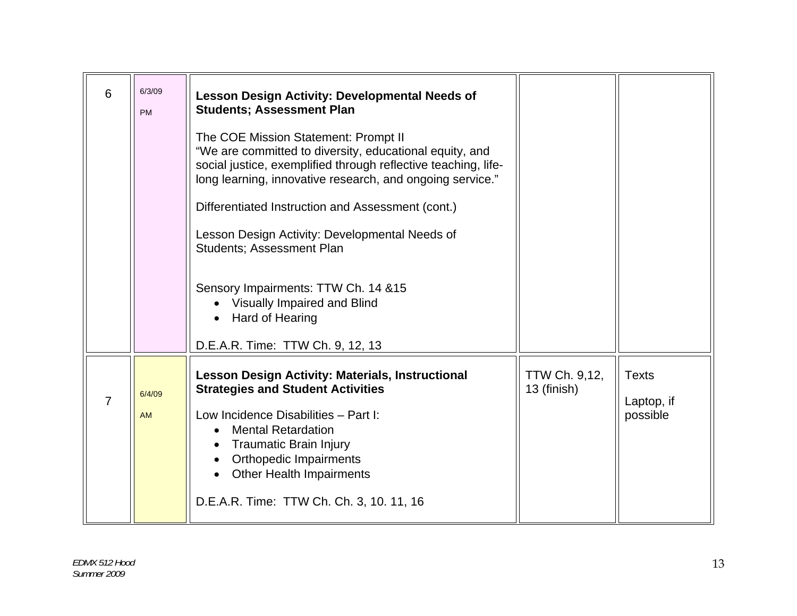| 6<br><b>PM</b>       | 6/3/09 | <b>Lesson Design Activity: Developmental Needs of</b><br><b>Students; Assessment Plan</b><br>The COE Mission Statement: Prompt II<br>"We are committed to diversity, educational equity, and<br>social justice, exemplified through reflective teaching, life-<br>long learning, innovative research, and ongoing service."<br>Differentiated Instruction and Assessment (cont.)<br>Lesson Design Activity: Developmental Needs of<br><b>Students; Assessment Plan</b><br>Sensory Impairments: TTW Ch. 14 & 15<br>Visually Impaired and Blind<br>Hard of Hearing |                              |                                        |
|----------------------|--------|------------------------------------------------------------------------------------------------------------------------------------------------------------------------------------------------------------------------------------------------------------------------------------------------------------------------------------------------------------------------------------------------------------------------------------------------------------------------------------------------------------------------------------------------------------------|------------------------------|----------------------------------------|
| $\overline{7}$<br>AM | 6/4/09 | D.E.A.R. Time: TTW Ch. 9, 12, 13<br><b>Lesson Design Activity: Materials, Instructional</b><br><b>Strategies and Student Activities</b><br>Low Incidence Disabilities - Part I:<br><b>Mental Retardation</b><br><b>Traumatic Brain Injury</b><br><b>Orthopedic Impairments</b><br><b>Other Health Impairments</b><br>D.E.A.R. Time: TTW Ch. Ch. 3, 10. 11, 16                                                                                                                                                                                                    | TTW Ch. 9,12,<br>13 (finish) | <b>Texts</b><br>Laptop, if<br>possible |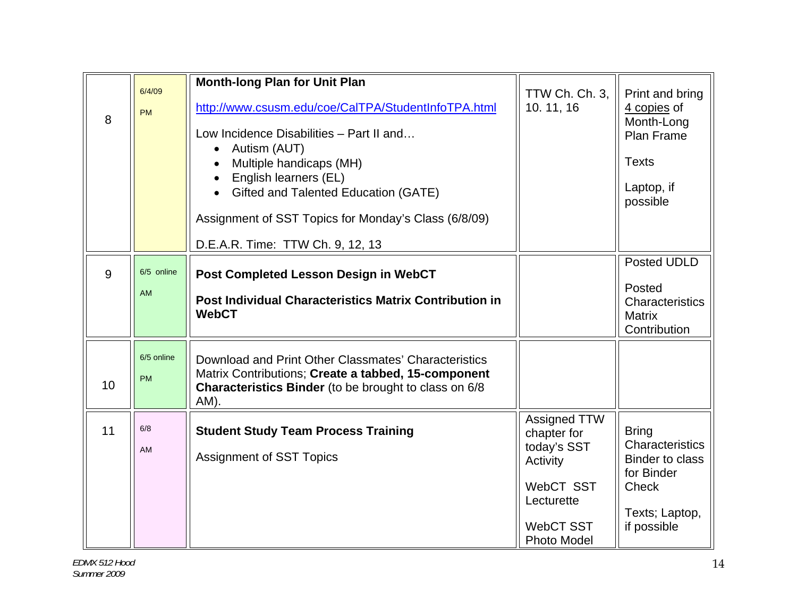| 6/4/09<br><b>PM</b>     | <b>Month-long Plan for Unit Plan</b><br>http://www.csusm.edu/coe/CalTPA/StudentInfoTPA.html<br>Low Incidence Disabilities - Part II and<br>Autism (AUT)<br>$\bullet$<br>Multiple handicaps (MH)<br>English learners (EL)<br>Gifted and Talented Education (GATE)<br>Assignment of SST Topics for Monday's Class (6/8/09) | TTW Ch. Ch. 3,<br>10.11,16                                                                            | Print and bring<br>4 copies of<br>Month-Long<br><b>Plan Frame</b><br><b>Texts</b><br>Laptop, if<br>possible              |
|-------------------------|--------------------------------------------------------------------------------------------------------------------------------------------------------------------------------------------------------------------------------------------------------------------------------------------------------------------------|-------------------------------------------------------------------------------------------------------|--------------------------------------------------------------------------------------------------------------------------|
|                         | D.E.A.R. Time: TTW Ch. 9, 12, 13                                                                                                                                                                                                                                                                                         |                                                                                                       |                                                                                                                          |
| 6/5 online<br>AM        | Post Completed Lesson Design in WebCT<br><b>Post Individual Characteristics Matrix Contribution in</b><br><b>WebCT</b>                                                                                                                                                                                                   |                                                                                                       | Posted UDLD<br>Posted<br>Characteristics<br><b>Matrix</b><br>Contribution                                                |
| 6/5 online<br><b>PM</b> | Download and Print Other Classmates' Characteristics<br>Matrix Contributions; Create a tabbed, 15-component<br><b>Characteristics Binder</b> (to be brought to class on 6/8<br>AM).                                                                                                                                      |                                                                                                       |                                                                                                                          |
| 6/8<br>AM               | <b>Student Study Team Process Training</b><br><b>Assignment of SST Topics</b>                                                                                                                                                                                                                                            | Assigned TTW<br>chapter for<br>today's SST<br>Activity<br>WebCT SST<br>Lecturette<br><b>WebCT SST</b> | <b>Bring</b><br>Characteristics<br><b>Binder to class</b><br>for Binder<br><b>Check</b><br>Texts; Laptop,<br>if possible |
|                         |                                                                                                                                                                                                                                                                                                                          |                                                                                                       |                                                                                                                          |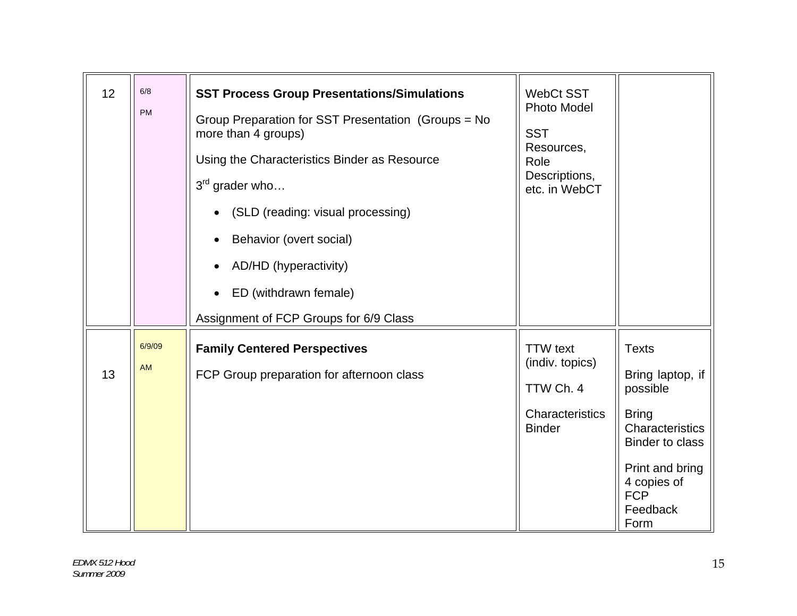| 12 | 6/8<br><b>PM</b>    | <b>SST Process Group Presentations/Simulations</b><br>Group Preparation for SST Presentation (Groups = No<br>more than 4 groups)<br>Using the Characteristics Binder as Resource<br>$3^{rd}$ grader who<br>(SLD (reading: visual processing)<br>Behavior (overt social)<br>AD/HD (hyperactivity)<br>ED (withdrawn female)<br>Assignment of FCP Groups for 6/9 Class | <b>WebCt SST</b><br>Photo Model<br><b>SST</b><br>Resources,<br>Role<br>Descriptions,<br>etc. in WebCT |                                                                                                                                                                               |
|----|---------------------|---------------------------------------------------------------------------------------------------------------------------------------------------------------------------------------------------------------------------------------------------------------------------------------------------------------------------------------------------------------------|-------------------------------------------------------------------------------------------------------|-------------------------------------------------------------------------------------------------------------------------------------------------------------------------------|
| 13 | 6/9/09<br><b>AM</b> | <b>Family Centered Perspectives</b><br>FCP Group preparation for afternoon class                                                                                                                                                                                                                                                                                    | <b>TTW</b> text<br>(indiv. topics)<br>TTW Ch. 4<br>Characteristics<br><b>Binder</b>                   | <b>Texts</b><br>Bring laptop, if<br>possible<br><b>Bring</b><br>Characteristics<br><b>Binder to class</b><br>Print and bring<br>4 copies of<br><b>FCP</b><br>Feedback<br>Form |